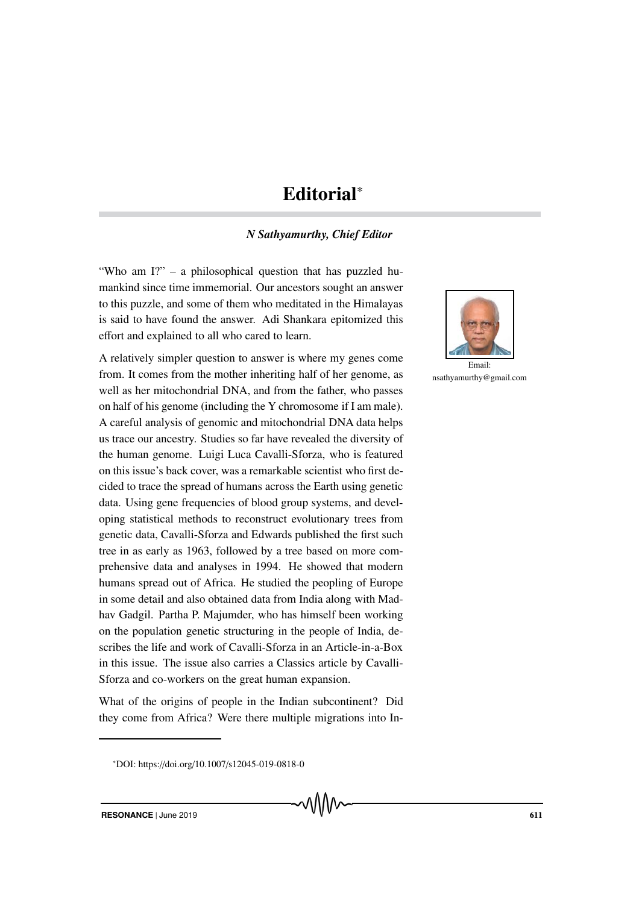## Editorial<sup>∗</sup>

## *N Sathyamurthy, Chief Editor*

"Who am I?" – a philosophical question that has puzzled humankind since time immemorial. Our ancestors sought an answer to this puzzle, and some of them who meditated in the Himalayas is said to have found the answer. Adi Shankara epitomized this effort and explained to all who cared to learn.

A relatively simpler question to answer is where my genes come from. It comes from the mother inheriting half of her genome, as well as her mitochondrial DNA, and from the father, who passes on half of his genome (including the Y chromosome if I am male). A careful analysis of genomic and mitochondrial DNA data helps us trace our ancestry. Studies so far have revealed the diversity of the human genome. Luigi Luca Cavalli-Sforza, who is featured on this issue's back cover, was a remarkable scientist who first decided to trace the spread of humans across the Earth using genetic data. Using gene frequencies of blood group systems, and developing statistical methods to reconstruct evolutionary trees from genetic data, Cavalli-Sforza and Edwards published the first such tree in as early as 1963, followed by a tree based on more comprehensive data and analyses in 1994. He showed that modern humans spread out of Africa. He studied the peopling of Europe in some detail and also obtained data from India along with Madhav Gadgil. Partha P. Majumder, who has himself been working on the population genetic structuring in the people of India, describes the life and work of Cavalli-Sforza in an Article-in-a-Box in this issue. The issue also carries a Classics article by Cavalli-Sforza and co-workers on the great human expansion.

What of the origins of people in the Indian subcontinent? Did they come from Africa? Were there multiple migrations into In-



nsathyamurthy@gmail.com

<sup>∗</sup>DOI: https://doi.org/10.1007/s12045-019-0818-0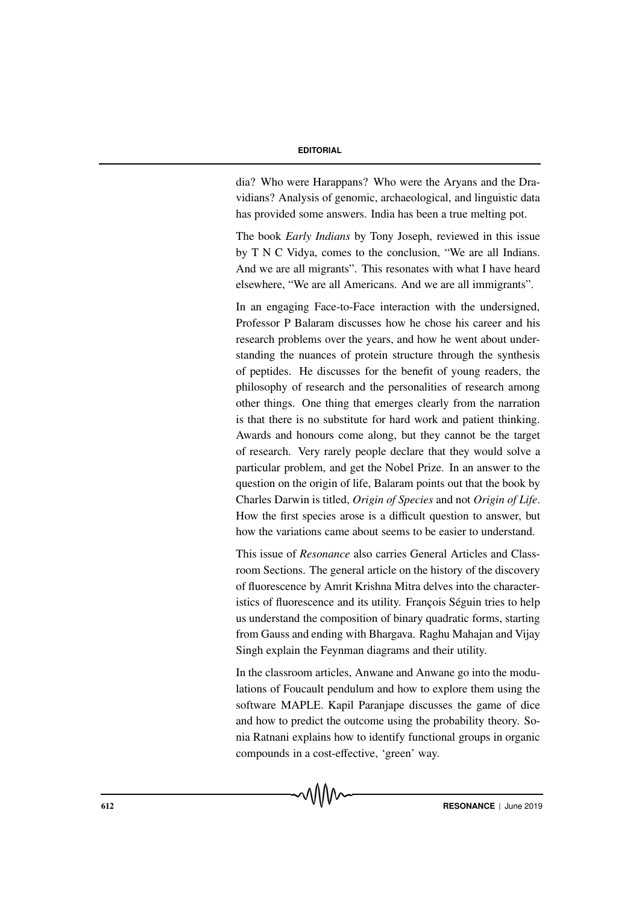## **EDITORIAL**

dia? Who were Harappans? Who were the Aryans and the Dravidians? Analysis of genomic, archaeological, and linguistic data has provided some answers. India has been a true melting pot.

The book *Early Indians* by Tony Joseph, reviewed in this issue by T N C Vidya, comes to the conclusion, "We are all Indians. And we are all migrants". This resonates with what I have heard elsewhere, "We are all Americans. And we are all immigrants".

In an engaging Face-to-Face interaction with the undersigned, Professor P Balaram discusses how he chose his career and his research problems over the years, and how he went about understanding the nuances of protein structure through the synthesis of peptides. He discusses for the benefit of young readers, the philosophy of research and the personalities of research among other things. One thing that emerges clearly from the narration is that there is no substitute for hard work and patient thinking. Awards and honours come along, but they cannot be the target of research. Very rarely people declare that they would solve a particular problem, and get the Nobel Prize. In an answer to the question on the origin of life, Balaram points out that the book by Charles Darwin is titled, *Origin of Species* and not *Origin of Life*. How the first species arose is a difficult question to answer, but how the variations came about seems to be easier to understand.

This issue of *Resonance* also carries General Articles and Classroom Sections. The general article on the history of the discovery of fluorescence by Amrit Krishna Mitra delves into the characteristics of fluorescence and its utility. François Séguin tries to help us understand the composition of binary quadratic forms, starting from Gauss and ending with Bhargava. Raghu Mahajan and Vijay Singh explain the Feynman diagrams and their utility.

In the classroom articles, Anwane and Anwane go into the modulations of Foucault pendulum and how to explore them using the software MAPLE. Kapil Paranjape discusses the game of dice and how to predict the outcome using the probability theory. Sonia Ratnani explains how to identify functional groups in organic compounds in a cost-effective, 'green' way.